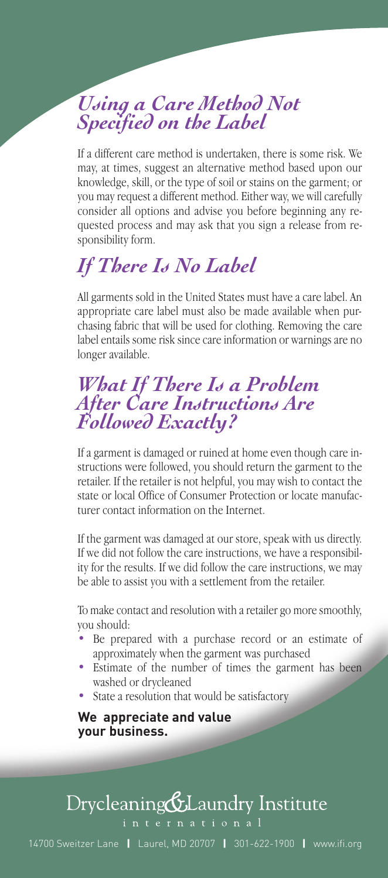### *Using a Care Method Not Specified on the Label*

If a different care method is undertaken, there is some risk. We may, at times, suggest an alternative method based upon our knowledge, skill, or the type of soil or stains on the garment; or you may request a different method. Either way, we will carefully consider all options and advise you before beginning any requested process and may ask that you sign a release from responsibility form.

### *If There Is No Label*

All garments sold in the United States must have a care label. An appropriate care label must also be made available when purchasing fabric that will be used for clothing. Removing the care label entails some risk since care information or warnings are no longer available.

#### *What If There Is a Problem After Care Instructions Are Followed Exactly?*

If a garment is damaged or ruined at home even though care instructions were followed, you should return the garment to the retailer. If the retailer is not helpful, you may wish to contact the state or local Office of Consumer Protection or locate manufacturer contact information on the Internet.

If the garment was damaged at our store, speak with us directly. If we did not follow the care instructions, we have a responsibility for the results. If we did follow the care instructions, we may be able to assist you with a settlement from the retailer.

To make contact and resolution with a retailer go more smoothly, you should:

- Be prepared with a purchase record or an estimate of approximately when the garment was purchased
- Estimate of the number of times the garment has been washed or drycleaned
- State a resolution that would be satisfactory

**We appreciate and value your business.**

## Drycleaning&Laundry Institute

14700 Sweitzer Lane **|** Laurel, MD 20707 **|** 301-622-1900 **|** www.ifi.org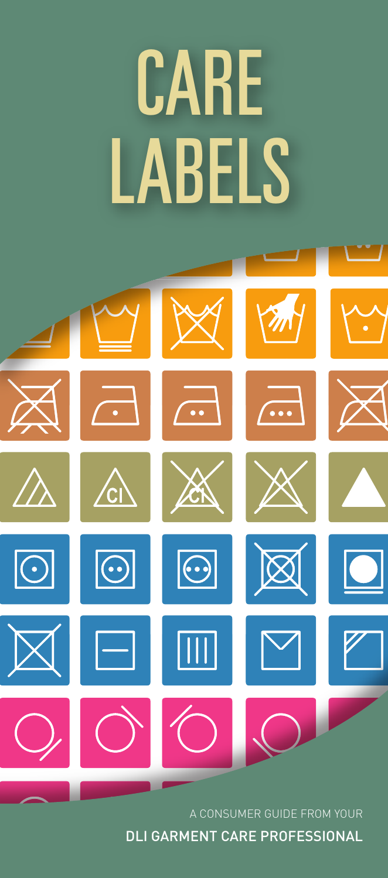# *CARE LABELS*



A CONSUMER GUIDE FROM YOUR DLI GARMENT CARE PROFESSIONAL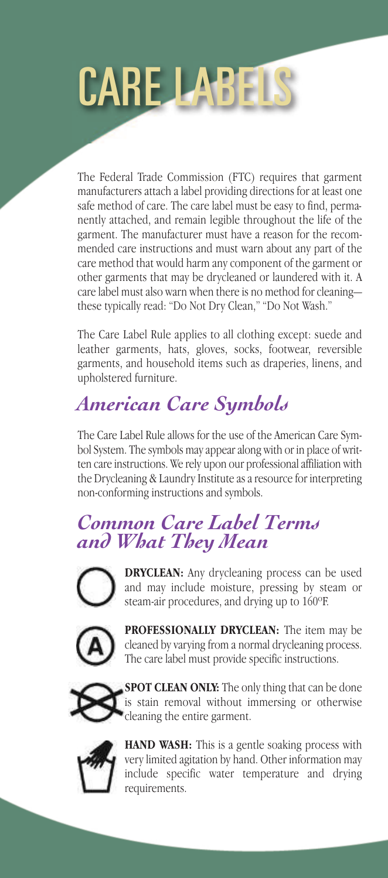

The Federal Trade Commission (FTC) requires that garment manufacturers attach a label providing directions for at least one safe method of care. The care label must be easy to find, permanently attached, and remain legible throughout the life of the garment. The manufacturer must have a reason for the recommended care instructions and must warn about any part of the care method that would harm any component of the garment or other garments that may be drycleaned or laundered with it. A care label must also warn when there is no method for cleaningthese typically read: "Do Not Dry Clean," "Do Not Wash."

The Care Label Rule applies to all clothing except: suede and leather garments, hats, gloves, socks, footwear, reversible garments, and household items such as draperies, linens, and upholstered furniture.

## *American Care Symbols*

The Care Label Rule allows for the use of the American Care Symbol System. The symbols may appear along with or in place of written care instructions. We rely upon our professional affiliation with the Drycleaning & Laundry Institute as a resource for interpreting non-conforming instructions and symbols.

### *Common Care Label Terms and What They Mean*



**DRYCLEAN:** Any drycleaning process can be used and may include moisture, pressing by steam or steam-air procedures, and drying up to 160ºF.



**PROFESSIONALLY DRYCLEAN:** The item may be cleaned by varying from a normal drycleaning process. The care label must provide specific instructions.



**SPOT CLEAN ONLY:** The only thing that can be done is stain removal without immersing or otherwise cleaning the entire garment.



**HAND WASH:** This is a gentle soaking process with very limited agitation by hand. Other information may include specific water temperature and drying requirements.